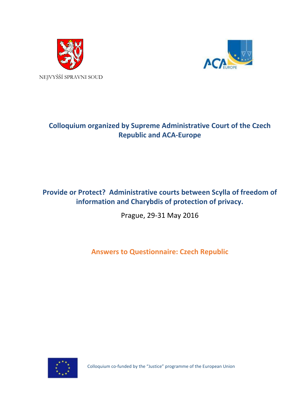



# **Colloquium organized by Supreme Administrative Court of the Czech Republic and ACA-Europe**

## **Provide or Protect? Administrative courts between Scylla of freedom of information and Charybdis of protection of privacy.**

Prague, 29-31 May 2016

**Answers to Questionnaire: Czech Republic**



Colloquium co-funded by the "Justice" programme of the European Union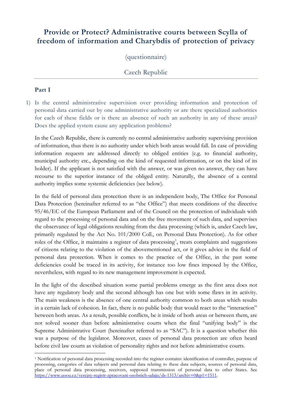## **Provide or Protect? Administrative courts between Scylla of freedom of information and Charybdis of protection of privacy**

(questionnaire)

### Czech Republic

#### **Part I**

1) Is the central administrative supervision over providing information and protection of personal data carried out by one administrative authority or are there specialized authorities for each of these fields or is there an absence of such an authority in any of these areas? Does the applied system cause any application problems?

In the Czech Republic, there is currently no central administrative authority supervising provision of information, thus there is no authority under which both areas would fall. In case of providing information requests are addressed directly to obliged entities (e.g. to financial authority, municipal authority etc., depending on the kind of requested information, or on the kind of its holder). If the applicant is not satisfied with the answer, or was given no answer, they can have recourse to the superior instance of the obliged entity. Naturally, the absence of a central authority implies some systemic deficiencies (see below).

In the field of personal data protection there is an independent body, The Office for Personal Data Protection (hereinafter referred to as "the Office") that meets conditions of the directive 95/46/EC of the European Parliament and of the Council on the protection of individuals with regard to the processing of personal data and on the free movement of such data, and supervises the observance of legal obligations resulting from the data processing (which is, under Czech law, primarily regulated by the Act No. 101/2000 Coll., on Personal Data Protection). As for other roles of the Office, it maintains a register of data processing<sup>[1](#page-1-0)</sup>, treats complaints and suggestions of citizens relating to the violation of the abovementioned act, or it gives advice in the field of personal data protection. When it comes to the practice of the Office, in the past some deficiencies could be traced in its activity, for instance too low fines imposed by the Office, nevertheless, with regard to its new management improvement is expected.

In the light of the described situation some partial problems emerge as the first area does not have any regulatory body and the second although has one but with some flaws in its activity. The main weakness is the absence of one central authority common to both areas which results in a certain lack of cohesion. In fact, there is no public body that would react to the "interaction" between both areas. As a result, possible conflicts, be it inside of both areas or between them, are not solved sooner than before administrative courts when the final "unifying body" is the Supreme Administrative Court (hereinafter referred to as "SAC"). It is a question whether this was a purpose of the legislator. Moreover, cases of personal data protection are often heard before civil law courts as violation of personality rights and not before administrative courts.

<span id="page-1-0"></span><sup>1</sup> Notification of personal data processing recorded into the register contains: identification of controller, purpose of processing, categories of data subjects and personal data relating to these data subjects, sources of personal data, place of personal data processing, receivers, supposed transmission of personal data to other States. See [https://www.uoou.cz/verejny-registr-zpracovani-osobnich-udaju/ds-1513/archiv=0&p1=1511.](https://www.uoou.cz/verejny-registr-zpracovani-osobnich-udaju/ds-1513/archiv=0&p1=1511)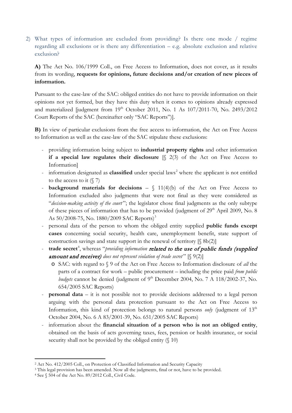2) What types of information are excluded from providing? Is there one mode / regime regarding all exclusions or is there any differentiation – e.g. absolute exclusion and relative exclusion?

**A)** The Act No. 106/1999 Coll., on Free Access to Information, does not cover, as it results from its wording, **requests for opinions, future decisions and/or creation of new pieces of information.**

Pursuant to the case-law of the SAC: obliged entities do not have to provide information on their opinions not yet formed, but they have this duty when it comes to opinions already expressed and materialized [judgment from  $19<sup>th</sup>$  October 2011, No. 1 As  $107/2011$ -70, No. 2493/2012 Court Reports of the SAC (hereinafter only "SAC Reports")].

**B)** In view of particular exclusions from the free access to information, the Act on Free Access to Information as well as the case-law of the SAC stipulate these exclusions:

- providing information being subject to **industrial property rights** and other information **if a special law regulates their disclosure** [§ 2(3) of the Act on Free Access to Information]
- information designated as **classified** under special laws<sup>[2](#page-2-0)</sup> where the applicant is not entitled to the access to it  $(\sqrt{7})$
- **background materials for decisions**  § 11(4)(b) of the Act on Free Access to Information excluded also judgments that were not final as they were considered as "*decision-making activity of the court* "; the legislator chose final judgments as the only subtype of these pieces of information that has to be provided (judgment of 29<sup>th</sup> April 2009, No. 8 As  $50/2008$ -75, No. 1880/2009 SAC Reports)<sup>[3](#page-2-1)</sup>
- personal data of the person to whom the obliged entity supplied **public funds except cases** concerning social security, health care, unemployment benefit, state support of construction savings and state support in the renewal of territory  $[\S 8b(2)]$
- **trade secret**<sup>[4](#page-2-2)</sup>, whereas "*providing information related to the use of public funds (supplied* **amount and receiver)** does not represent violation of trade secret"  $[\S 9(2)]$ 
	- o SAC: with regard to § 9 of the Act on Free Access to Information disclosure of *all* the parts of a contract for work – public procurement – including the price paid *from public budgets* cannot be denied (judgment of 9<sup>th</sup> December 2004, No. 7 A 118/2002-37, No. 654/2005 SAC Reports)
- **personal data** it is not possible not to provide decisions addressed to a legal person arguing with the personal data protection pursuant to the Act on Free Access to Information, this kind of protection belongs to natural persons *only* (judgment of  $13<sup>th</sup>$ October 2004, No. 6 A 83/2001-39, No. 651/2005 SAC Reports)
- information about the **financial situation of a person who is not an obliged entity**, obtained on the basis of acts governing taxes, fees, pension or health insurance, or social security shall not be provided by the obliged entity (§ 10)

<span id="page-2-0"></span> <sup>2</sup> Act No. 412/2005 Coll., on Protection of Classified Information and Security Capacity

<span id="page-2-1"></span><sup>&</sup>lt;sup>3</sup> This legal provision has been amended. Now all the judgments, final or not, have to be provided.

<span id="page-2-2"></span><sup>4</sup> See § 504 of the Act No. 89/2012 Coll., Civil Code.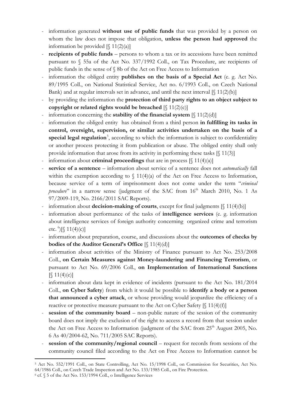- information generated **without use of public funds** that was provided by a person on whom the law does not impose that obligation, **unless the person had approved** the information be provided  $[\S 11(2)(a)]$
- **recipients of public funds** persons to whom a tax or its accessions have been remitted pursuant to § 55a of the Act No. 337/1992 Coll., on Tax Procedure, are recipients of public funds in the sense of § 8b of the Act on Free Access to Information
- information the obliged entity **publishes on the basis of a Special Act** (e. g. Act No. 89/1995 Coll., on National Statistical Service, Act no. 6/1993 Coll., on Czech National Bank) and at regular intervals set in advance, and until the next interval  $[\S 11(2)(b)]$
- by providing the information the **protection of third party rights to an object subject to copyright or related rights would be breached**  $[\S 11(2)(c)]$
- information concerning the **stability of the financial system** [§ 11(2)(d)]
- information the obliged entity has obtained from a third person **in fulfilling its tasks in control, oversight, supervision, or similar activities undertaken on the basis of a**  special legal regulation<sup>[5](#page-3-0)</sup>, according to which the information is subject to confidentiality or another process protecting it from publication or abuse. The obliged entity shall only provide information that arose from its activity in performing these tasks  $\lbrack \S \ 11(3) \rbrack$
- information about **criminal proceedings** that are in process  $[\S 11(4)(a)]$
- **service of a sentence**  information about service of a sentence does not *automatically* fall within the exemption according to  $\int 11(4)(a)$  of the Act on Free Access to Information, because service of a term of imprisonment does not come under the term "*criminal procedure*" in a narrow sense (judgment of the SAC from 16<sup>th</sup> March 2010, No. 1 As 97/2009-119, No. 2166/2011 SAC Reports).
- information about **decision-making of courts**, except for final judgments [§ 11(4)(b)]
- information about performance of the tasks of **intelligence services** (e. g. information about intelligence services of foreign authority concerning organized crime and terrorism etc.  $^{6}$  $^{6}$  $^{6}$ )[§ 11(4)(c)]
- information about preparation, course, and discussions about the **outcomes of checks by bodies of the Auditor General's Office** [§ 11(4)(d)]
- information about activities of the Ministry of Finance pursuant to Act No. 253/2008 Coll., **on Certain Measures against Money-laundering and Financing Terrorism**, or pursuant to Act No. 69/2006 Coll., **on Implementation of International Sanctions**  $\lceil \binom{3}{1}(4)(e) \rceil$
- information about data kept in evidence of incidents (pursuant to the Act No. 181/2014 Coll., **on Cyber Safety**) from which it would be possible to **identify a body or a person that announced a cyber attack**, or whose providing would jeopardize the efficiency of a reactive or protective measure pursuant to the Act on Cyber Safety  $[\S 11(4)(f)]$
- **session of the community board** non-public nature of the session of the community board does not imply the exclusion of the right to access a record from that session under the Act on Free Access to Information (judgment of the SAC from  $25<sup>th</sup>$  August 2005, No. 6 As 40/2004-62, No. 711/2005 SAC Reports).
- **session of the community/regional council request for records from sessions of the** community council filed according to the Act on Free Access to Information cannot be

<span id="page-3-0"></span> <sup>5</sup> Act No. 552/1991 Coll., on State Controlling, Act No. 15/1998 Coll., on Commission for Securities, Act No. 64/1986 Coll., on Czech Trade Inspection and Act No. 133/1985 Coll., on Fire Protection.

<span id="page-3-1"></span><sup>6</sup> cf. § 5 of the Act No. 153/1994 Coll., o Intelligence Services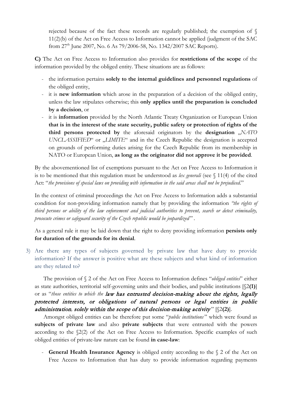rejected because of the fact these records are regularly published; the exemption of § 11(2)(b) of the Act on Free Access to Information cannot be applied (judgment of the SAC from 27<sup>th</sup> June 2007, No. 6 As 79/2006-58, No. 1342/2007 SAC Reports).

**C)** The Act on Free Access to Information also provides for **restrictions of the scope** of the information provided by the obliged entity. These situations are as follows:

- the information pertains **solely to the internal guidelines and personnel regulations** of the obliged entity,
- it is **new information** which arose in the preparation of a decision of the obliged entity, unless the law stipulates otherwise; this **only applies until the preparation is concluded by a decision**, or
- it is **information** provided by the North Atlantic Treaty Organization or European Union **that is in the interest of the state security, public safety or protection of rights of the third persons protected by** the aforesaid originators by the **designation** "*NATO UNCLASSIFIED*" or "*LIMITE*" and in the Czech Republic the designation is accepted on grounds of performing duties arising for the Czech Republic from its membership in NATO or European Union, **as long as the originator did not approve it be provided**.

By the abovementioned list of exemptions pursuant to the Act on Free Access to Information it is to be mentioned that this regulation must be understood as *lex generali* (see § 11(4) of the cited Act: "*the provisions of special laws on providing with information in the said areas shall not be prejudiced*."

In the context of criminal proceedings the Act on Free Access to Information adds a substantial condition for non-providing information namely that by providing the information *"the rights of third persons or ability of the law enforcement and judicial authorities to prevent, search or detect criminality, prosecute crimes or safeguard security of the Czech republic would be jeopardized*".

As a general rule it may be laid down that the right to deny providing information **persists only for duration of the grounds for its denial**.

3) Are there any types of subjects governed by private law that have duty to provide information? If the answer is positive what are these subjects and what kind of information are they related to?

The provision of § 2 of the Act on Free Access to Information defines "*obliged entities*" either as state authorities, territorial self-governing units and their bodies, and public institutions [§2**(1)**] or as "*those entities to which the* law has entrusted decision-making about the rights, legally protected interests, or obligations of natural persons or legal entities in public administration, solely within the scope of this decision-making activity"  $[\$2(2)]$ .

Amongst obliged entities can be therefore put some "*public institutions* " which were found as **subjects of private law** and also **private subjects** that were entrusted with the powers according to the §2(2) of the Act on Free Access to Information. Specific examples of such obliged entities of private-law nature can be found **in case-law**:

- **General Health Insurance Agency** is obliged entity according to the § 2 of the Act on Free Access to Information that has duty to provide information regarding payments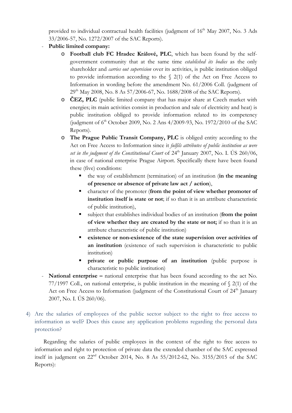provided to individual contractual health facilities (judgment of  $16<sup>th</sup>$  May 2007, No. 3 Ads 33/2006-57, No. 1272/2007 of the SAC Reports).

#### - **Public limited company:**

- o **Football club FC Hradec Králové, PLC**, which has been found by the selfgovernment community that at the same time *established its bodies* as the only shareholder and *carries out supervision* over its activities, is public institution obliged to provide information according to the  $\S$  2(1) of the Act on Free Access to Information in wording before the amendment No. 61/2006 Coll. (judgment of  $29<sup>th</sup>$  May 2008, No. 8 As 57/2006-67, No. 1688/2008 of the SAC Reports).
- o **ČEZ, PLC** (public limited company that has major share at Czech market with energies; its main activities consist in production and sale of electricity and heat) is public institution obliged to provide information related to its competency (judgment of 6<sup>th</sup> October 2009, No. 2 Ans 4/2009-93, No. 1972/2010 of the SAC Reports).
- o **The Prague Public Transit Company, PLC** is obliged entity according to the Act on Free Access to Information since it *fulfils attributes of public institution as were set in the judgment of the Constitutional Court* of  $24<sup>th</sup>$  January 2007, No. I. US 260/06, in case of national enterprise Prague Airport. Specifically there have been found these (five) conditions:
	- the way of establishment (termination) of an institution (**in the meaning of presence or absence of private law act / action**),
	- character of the promoter (**from the point of view whether promoter of institution itself is state or not**; if so than it is an attribute characteristic of public institution),
	- subject that establishes individual bodies of an institution (**from the point of view whether they are created by the state or not;** if so than it is an attribute characteristic of public institution)
	- **existence or non-existence of the state supervision over activities of an institution** (existence of such supervision is characteristic to public institution)
	- **private or public purpose of an institution** (public purpose is characteristic to public institution)
- **National enterprise –** national enterprise that has been found according to the act No. 77/1997 Coll., on national enterprise, is public institution in the meaning of § 2(1) of the Act on Free Access to Information (judgment of the Constitutional Court of  $24<sup>th</sup>$  January 2007, No. I. ÚS 260/06).
- 4) Are the salaries of employees of the public sector subject to the right to free access to information as well? Does this cause any application problems regarding the personal data protection?

Regarding the salaries of public employees in the context of the right to free access to information and right to protection of private data the extended chamber of the SAC expressed itself in judgment on 22nd October 2014, No. 8 As 55/2012-62, No. 3155/2015 of the SAC Reports):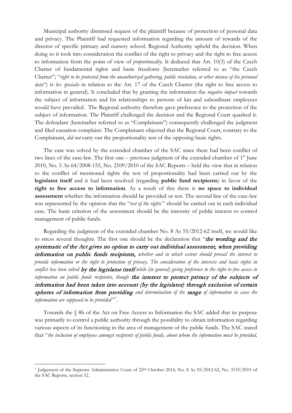Municipal authority dismissed request of the plaintiff because of protection of personal data and privacy. The Plaintiff had requested information regarding the amount of rewards of the director of specific primary and nursery school. Regional Authority upheld the decision. When doing so it took into consideration the conflict of the right to privacy and the right to free access to information from the point of view of *proportionality*. It deduced that Art. 10(3) of the Czech Charter of fundamental rights and basic freedoms (hereinafter referred to as "the Czech Charter"; "*right to be protected from the unauthorized gathering, public revelation, or other misuse of his personal data*") is *lex specialis* in relation to the Art. 17 of the Czech Charter (the right to free access to information in general). It concluded that by granting the information the *negative impact* towards the subject of information and his relationships to persons of kin and subordinate employees would have prevailed. The Regional authority therefore gave preference to the protection of the subject of information. The Plaintiff challenged the decision and the Regional Court quashed it. The defendant (hereinafter referred to as "Complainant") consequently challenged the judgment and filed cassation complaint. The Complainant objected that the Regional Court, contrary to the Complainant, *did not* carry out the proportionality test of the opposing basic rights.

The case was solved by the extended chamber of the SAC since there had been conflict of two lines of the case-law. The first one – previous judgment of the extended chamber of  $1<sup>st</sup>$  June 2010, No. 5 As 64/2008-155, No. 2109/2010 of the SAC Reports – held the view that in relation to the conflict of mentioned rights the test of proportionality had been carried out by the **legislator itself** and it had been resolved (regarding **public fund recipients**) in favor of the **right to free access to information**. As a result of this there is **no space to individual assessment** whether the information should be provided or not. The second line of the case-law was represented by the opinion that the "*test of the rights* " should be carried out in each individual case. The basic criterion of the assessment should be the intensity of public interest to control management of public funds.

Regarding the judgment of the extended chamber No. 8 As 55/2012-62 itself, we would like to stress several thoughts. The first one should be the declaration that "the wording and the systematic of the Act gives no option to carry out individual assessment, when providing information on public funds recipients, *whether and in which extent should prevail the interest to provide information or the right to protection of privacy. The consideration of the interests and basic rights in conflict has been solved* by the legislator itself *while (in general) giving preference to the right to free access to information on public funds recipients, though* the interest to protect privacy of the subjects of information had been taken into account (by the legislator) through exclusion of certain spheres of information from providing *and determination of the* range *of information in cases the*  information are supposed to be provided"<sup>[7](#page-6-0)</sup>.

Towards the § 8b of the Act on Free Access to Information the SAC added that its purpose was primarily to control a public authority through the possibility to obtain information regarding various aspects of its functioning in the area of management of the public funds. The SAC stated that "*the inclusion of employees amongst recipients of public funds, about whom the information must be provided,* 

<span id="page-6-0"></span> <sup>7</sup> Judgement of the Supreme Administrative Court of 22nd October 2014, No. 8 As 55/2012-62, No. 3155/2015 of the SAC Reports, section 52.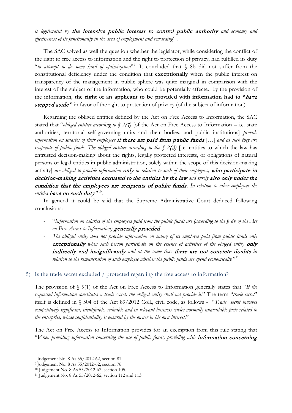*is legitimated by* the intensive public interest to control public authority *and economy and effectiveness of its functionality in the area of employment and rewarding*"[8](#page-7-0) .

The SAC solved as well the question whether the legislator, while considering the conflict of the right to free access to information and the right to protection of privacy, had fulfilled its duty "*to attempt to do some kind of optimization*["9](#page-7-1) . It concluded that § 8b did not suffer from the constitutional deficiency under the condition that **exceptionally** when the public interest on transparency of the management in public sphere was quite marginal in comparison with the interest of the subject of the information, who could be potentially affected by the provision of the information, **the right of an applicant to be provided with information had to "**have stepped *aside*" in favor of the right to protection of privacy (of the subject of information).

Regarding the obliged entities defined by the Act on Free Access to Information, the SAC stated that "*obliged entities according to § 2*(1) [of the Act on Free Access to Information – i.e. state authorities, territorial self-governing units and their bodies, and public institutions] *provide information on salaries of their employees* if these are paid from public funds […] *and as such they are recipients of public funds. The obliged entities according to the* § 2(2) [i.e. entities to which the law has entrusted decision-making about the rights, legally protected interests, or obligations of natural persons or legal entities in public administration, solely within the scope of this decision-making activity] *are obliged to provide information* only *in relation to such of their employees,* who participate in decision-making activities entrusted to the entities by the law *and surely* also only under the condition that the employees are recipients of public funds. *In relation to other employees the entities have no such duty*"<sup>[10](#page-7-2)</sup>.

In general it could be said that the Supreme Administrative Court deduced following conclusions:

- "*Information on salaries of the employees paid from the public funds are (according to the § 8b of the Act on Free Access to Information)* generally provided
- *The obliged entity does not provide information on salary of its employee paid from public funds only*  exceptionally when such person participate on the essence of activities of the obliged entity only indirectly and insignificantly *and at the same time* there are not concrete doubts *in relation to the remuneration of such employee whether the public funds are spend economically.*"[11](#page-7-3)

#### 5) Is the trade secret excluded / protected regarding the free access to information?

The provision of § 9(1) of the Act on Free Access to Information generally states that "*If the requested information constitutes a trade secret, the obliged entity shall not provide it*." The term "*trade secret*" itself is defined in § 504 of the Act 89/2012 Coll., civil code, as follows - "*Trade secret involves competitively significant, identifiable, valuable and in relevant business circles normally unavailable facts related to the enterprise, whose confidentiality is ensured by the owner in his own interest.*"

The Act on Free Access to Information provides for an exemption from this rule stating that "When providing information concerning the use of public funds, providing with **information concerning** 

<span id="page-7-0"></span> <sup>8</sup> Judgement No. 8 As 55/2012-62, section 81.

<span id="page-7-1"></span><sup>9</sup> Judgement No. 8 As 55/2012-62, section 76.

<span id="page-7-2"></span><sup>10</sup> Judgement No. 8 As 55/2012-62, section 105.

<span id="page-7-3"></span><sup>11</sup> Judgement No. 8 As 55/2012-62, section 112 and 113.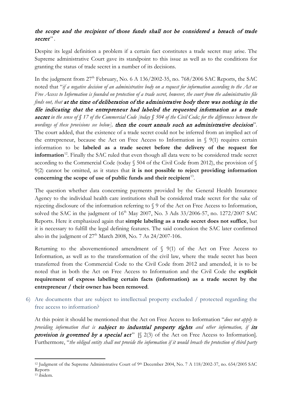## the scope and the recipient of those funds shall not be considered a breach of trade secret".

Despite its legal definition a problem if a certain fact constitutes a trade secret may arise. The Supreme administrative Court gave its standpoint to this issue as well as to the conditions for granting the status of trade secret in a number of its decisions.

In the judgment from  $27<sup>th</sup>$  February, No. 6 A 136/2002-35, no. 768/2006 SAC Reports, the SAC noted that "*if a negative decision of an administrative body on a request for information according to the Act on Free Access to Information is founded on protection of a trade secret, however, the court from the administrative file finds out, that* at the time of deliberation of the administrative body there was nothing in the file indicating that the entrepreneur had labeled the requested information as a trade secret *in the sense of § 17 of the Commercial Code [today § 504 of the Civil Code; for the differences between the wordings of these provisions see below],* then the court annuls such an administrative decision". The court added, that the existence of a trade secret could not be inferred from an implied act of the entrepreneur, because the Act on Free Access to Information in  $\S$  9(1) requires certain information to be **labeled as a trade secret before the delivery of the request for information**<sup>12</sup>. Finally the SAC ruled that even though all data were to be considered trade secret according to the Commercial Code (today § 504 of the Civil Code from 2012), the provision of § 9(2) cannot be omitted, as it states that **it is not possible to reject providing information**  concerning the scope of use of public funds and their recipient<sup>13</sup>.

The question whether data concerning payments provided by the General Health Insurance Agency to the individual health care institutions shall be considered trade secret for the sake of rejecting disclosure of the information referring to § 9 of the Act on Free Access to Information, solved the SAC in the judgment of  $16<sup>th</sup>$  May 2007, No. 3 Ads 33/2006-57, no. 1272/2007 SAC Reports. Here it emphasized again that **simple labeling as a trade secret does not suffice**, but it is necessary to fulfill the legal defining features. The said conclusion the SAC later confirmed also in the judgment of  $27<sup>th</sup>$  March 2008, No. 7 As  $24/2007$ -106.

Returning to the abovementioned amendment of  $\S$  9(1) of the Act on Free Access to Information, as well as to the transformation of the civil law, where the trade secret has been transferred from the Commercial Code to the Civil Code from 2012 and amended, it is to be noted that in both the Act on Free Access to Information and the Civil Code the **explicit requirement of express labeling certain facts (information) as a trade secret by the entrepreneur / their owner has been removed**.

6) Are documents that are subject to intellectual property excluded / protected regarding the free access to information?

At this point it should be mentioned that the Act on Free Access to Information "*does not apply to providing information that is* subject to industrial property rights *and other information, if* its provision is governed by a special act"  $[\S 2(3)$  of the Act on Free Access to Information]. Furthermore, "*the obliged entity shall not provide the information if it would breach the protection of third party* 

<span id="page-8-1"></span><span id="page-8-0"></span><sup>&</sup>lt;sup>12</sup> Judgment of the Supreme Administrative Court of 9<sup>th</sup> December 2004, No. 7 A 118/2002-37, no. 654/2005 SAC Reports <sup>13</sup> ibidem.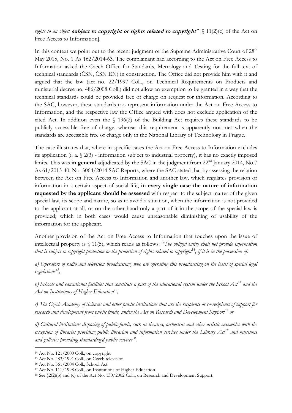### *rights to an object subject to copyright or rights related to copyright" [§ 11(2)(c) of the Act on* Free Access to Information].

In this context we point out to the recent judgment of the Supreme Administrative Court of  $28<sup>th</sup>$ May 2015, No. 1 As 162/2014-63. The complainant had according to the Act on Free Access to Information asked the Czech Office for Standards, Metrology and Testing for the full text of technical standards (ČSN, ČSN EN) in construction. The Office did not provide him with it and argued that the law (act no. 22/1997 Coll., on Technical Requirements on Products and ministerial decree no. 486/2008 Coll.) did not allow an exemption to be granted in a way that the technical standards could be provided free of charge on request for information. According to the SAC, however, these standards too represent information under the Act on Free Access to Information, and the respective law the Office argued with does not exclude application of the cited Act. In addition even the § 196(2) of the Building Act requires these standards to be publicly accessible free of charge, whereas this requirement is apparently not met when the standards are accessible free of charge only in the National Library of Technology in Prague.

The case illustrates that, where in specific cases the Act on Free Access to Information excludes its application (i. a. § 2(3) - information subject to industrial property), it has no exactly imposed limits. This was **in general** adjudicated by the SAC in the judgment from 22<sup>nd</sup> January 2014, No.7 As 61/2013-40, No. 3064/2014 SAC Reports, where the SAC stated that by assessing the relation between the Act on Free Access to Information and another law, which regulates provision of information in a certain aspect of social life, **in every single case the nature of information requested by the applicant should be assessed** with respect to the subject matter of the given special law, its scope and nature, so as to avoid a situation, when the information is not provided to the applicant at all, or on the other hand only a part of it in the scope of the special law is provided; which in both cases would cause unreasonable diminishing of usability of the information for the applicant.

Another provision of the Act on Free Access to Information that touches upon the issue of intellectual property is § 11(5), which reads as follows: "*The obliged entity shall not provide information that is subject to copyright protection or the protection of rights related to copyright*[14](#page-9-0)*, if it is in the possession of:*

*a) Operators of radio and television broadcasting, who are operating this broadcasting on the basis of special legal regulations[15](#page-9-1),*

*b) Schools and educational facilities that constitute a part of the educational system under the School Act[16](#page-9-2) and the Act on Institutions of Higher Education[17,](#page-9-3)*

*c) The Czech Academy of Sciences and other public institutions that are the recipients or co-recipients of support for research and development from public funds, under the Act on Research and Development Support[18](#page-9-4) or*

*d) Cultural institutions disposing of public funds, such as theatres, orchestras and other artistic ensembles with the exception of libraries providing public librarian and information services under the Library Act[19](#page-9-3) and museums and galleries providing standardized public services[20.](#page-9-4)*

<span id="page-9-0"></span> <sup>14</sup> Act No. 121/2000 Coll., on copyright

<span id="page-9-1"></span><sup>15</sup> Act No. 483/1991 Coll., on Czech television

<span id="page-9-2"></span><sup>16</sup> Act No. 561/2004 Coll., School Act

<span id="page-9-3"></span><sup>17</sup> Act No. 111/1998 Coll., on Institutions of Higher Education.

<span id="page-9-4"></span><sup>18</sup> See §2(2)(b) and (c) of the Act No. 130/2002 Coll., on Research and Development Support.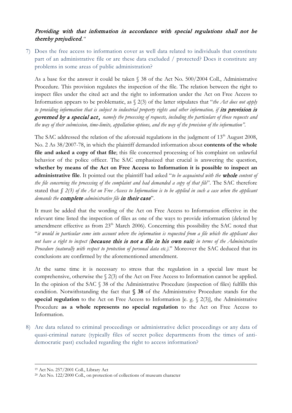### Providing with that information in accordance with special regulations shall not be thereby prejudiced.*"*

7) Does the free access to information cover as well data related to individuals that constitute part of an administrative file or are these data excluded / protected? Does it constitute any problems in some areas of public administration?

As a base for the answer it could be taken § 38 of the Act No. 500/2004 Coll., Administrative Procedure. This provision regulates the inspection of the file. The relation between the right to inspect files under the cited act and the right to information under the Act on Free Access to Information appears to be problematic, as § 2(3) of the latter stipulates that "*the Act does not apply*  to providing information that is subject to industrial property rights and other information, if **its provision is** governed by a special act , *namely the processing of requests, including the particulars of those requests and the way of their submission, time-limits, appellation options, and the way of the provision of the information".*

The SAC addressed the relation of the aforesaid regulations in the judgment of 13<sup>th</sup> August 2008. No. 2 As 38/2007-78, in which the plaintiff demanded information about **contents of the whole file and asked a copy of that file**; this file concerned processing of his complaint on unlawful behavior of the police officer. The SAC emphasized that crucial is answering the question, **whether by means of the Act on Free Access to Information it is possible to inspect an administrative file**. It pointed out the plaintiff had asked "*to be acquainted with the* whole *content of the file concerning the processing of the complaint and had demanded a copy of that file*". The SAC therefore stated that *§ 2(3) of the Act on Free Access to Information is to be applied in such a case when the applicant demands the* complete *administrative file* in their case".

It must be added that the wording of the Act on Free Access to Information effective in the relevant time listed the inspection of files as one of the ways to provide information (deleted by amendment effective as from 23<sup>th</sup> March 2006). Concerning this possibility the SAC noted that "*it would in particular come into account where the information is requested from a file which the applicant does not have a right to inspect (*because this is not a file in his own suit*) in terms of the Administrative Procedure (naturally with respect to protection of personal data etc.)*." Moreover the SAC deduced that its conclusions are confirmed by the aforementioned amendment.

At the same time it is necessary to stress that the regulation in a special law must be comprehensive, otherwise the  $\S 2(3)$  of the Act on Free Access to Information cannot be applied. In the opinion of the SAC § 38 of the Administrative Procedure (inspection of files) fulfills this condition. Notwithstanding the fact that **§ 38** of the Administrative Procedure stands for the **special regulation** to the Act on Free Access to Information [e. g. § 2(3)], the Administrative Procedure **as a whole represents no special regulation** to the Act on Free Access to Information.

8) Are data related to criminal proceedings or administrative delict proceedings or any data of quasi-criminal nature (typically files of secret police departments from the times of antidemocratic past) excluded regarding the right to access information?

 <sup>19</sup> Act No. 257/2001 Coll., Library Act

<sup>&</sup>lt;sup>20</sup> Act No. 122/2000 Coll., on protection of collections of museum character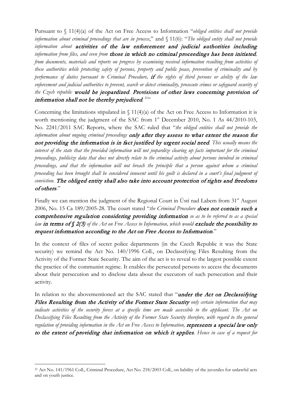Pursuant to § 11(4)(a) of the Act on Free Access to Information "*obliged entities shall not provide information about criminal proceedings that are in process*," and § 11(6): "*The obliged entity shall not provide information about* activities of the law enforcement and judicial authorities including *information from files, and even from* those in which no criminal proceedings has been initiated*, from documents, materials and reports on progress by examining received information resulting from activities of these authorities while protecting safety of persons, property and public peace, prevention of criminality and by performance of duties pursuant to Criminal Procedure,* if *the rights of third persons or ability of the law enforcement and judicial authorities to prevent, search or detect criminality, prosecute crimes or safeguard security of the Czech republic* would be jeopardized*.* Provisions of other laws concerning provision of information shall not be thereby prejudiced.<sup>21,1</sup>

Concerning the limitations stipulated in  $\int 11(4)(a)$  of the Act on Free Access to Information it is worth mentioning the judgment of the SAC from 1<sup>st</sup> December 2010, No. 1 As 44/2010-103, No. 2241/2011 SAC Reports, where the SAC ruled that "*the obliged entities shall not provide the information about ongoing criminal proceedings* only after they assess to what extent the reason for not providing the information is in fact justified by urgent social need*. This usually means the interest of the state that the provided information will not jeopardize clearing up facts important for the criminal proceedings, publicize data that does not directly relate to the criminal activity about persons involved in criminal proceedings, and that the information will not breach the principle that a person against whom a criminal proceeding has been brought shall be considered innocent until his guilt is declared in a court's final judgment of conviction.* The obliged entity shall also take into account protection of rights and freedoms of others."

Finally we can mention the judgment of the Regional Court in Ústí nad Labem from 31<sup>st</sup> August 2006, No. 15 Ca 189/2005-28. The court stated "*the Criminal Procedure* does not contain such a comprehensive regulation considering providing information *so as to be referred to as a special*  law in terms of § 2(3) of the Act on Free Access to Information, which would exclude the possibility to request information according to the Act on Free Access to Information."

In the context of files of secret police departments (in the Czech Republic it was the State security) we remind the Act No. 140/1996 Coll., on Declassifying Files Resulting from the Activity of the Former State Security. The aim of the act is to reveal to the largest possible extent the practice of the communist regime. It enables the persecuted persons to access the documents about their persecution and to disclose data about the executors of such persecution and their activity.

In relation to the abovementioned act the SAC stated that "under the Act on Declassifying Files Resulting from the Activity of the Former State Security *only certain information that may indicate activities of the security forces at a specific time are made accessible to the applicant. The Act on Declassifying Files Resulting from the Activity of the Former State Security therefore, with regard to the general regulation of providing information in the Act on Free Access to Information, represents a special law only* to the extent of providing that information on which it applies*. Hence in case of a request for* 

<span id="page-11-0"></span> <sup>21</sup> Act No. 141/1961 Coll., Criminal Procedure, Act No. 218/2003 Coll., on liability of the juveniles for unlawful acts and on youth justice.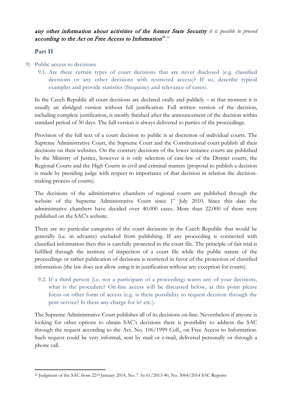any other information about activities of the former State Security *it is possible to proceed* according to the Act on Free Access to Information<sup>[22](#page-12-0)</sup>."

#### **Part II**

- 9) Public access to decisions
	- 9.1. Are there certain types of court decisions that are never disclosed (e.g. classified decisions or any other decisions with restricted access)? If so, describe typical examples and provide statistics (frequency and relevance of cases).

In the Czech Republic all court decisions are declared orally and publicly – at that moment it is usually an abridged version without full justification. Full written version of the decision, including complete justification, is mostly finished after the announcement of the decision within standard period of 30 days. The full version is always delivered to parties of the proceedings.

Provision of the full text of a court decision to public is at discretion of individual courts. The Supreme Administrative Court, the Supreme Court and the Constitutional court publish all their decisions on their websites. On the contrary decisions of the lower instance courts are published by the Ministry of Justice, however it is only selection of case-law of the District courts, the Regional Courts and the High Courts in civil and criminal matters (proposal to publish a decision is made by presiding judge with respect to importance of that decision in relation the decisionmaking process of courts).

The decisions of the administrative chambers of regional courts are published through the website of the Supreme Administrative Court since 1<sup>st</sup> July 2010. Since this date the administrative chambers have decided over 40.000 cases. More than 22.000 of them were published on the SAC's website.

There are no particular categories of the court decisions in the Czech Republic that would be generally (i.e. in advance) excluded from publishing. If any proceeding is connected with classified information then this is carefully protected in the court file. The principle of fair trial is fulfilled through the institute of inspection of a court file while the public nature of the proceedings or rather publication of decisions is restricted in favor of the protection of classified information (the law does not allow using it in justification without any exception for courts).

9.2. If a third person (i.e. not a participant of a proceeding) wants any of your decisions, what is the procedure? On-line access will be discussed below, at this point please focus on other form of access (e.g. is there possibility to request decision through the post service? Is there any charge for it? etc.).

The Supreme Administrative Court publishes all of its decisions on-line. Nevertheless if anyone is looking for other options to obtain SAC's decisions there is possibility to address the SAC through the request according to the Act. No. 106/1999 Coll., on Free Access to Information. Such request could be very informal, sent by mail or e-mail, delivered personally or through a phone call.

<span id="page-12-0"></span><sup>&</sup>lt;sup>22</sup> Judgment of the SAC from 22<sup>nd</sup> January 2014, No. 7 As 61/2013-40, No. 3064/2014 SAC Reports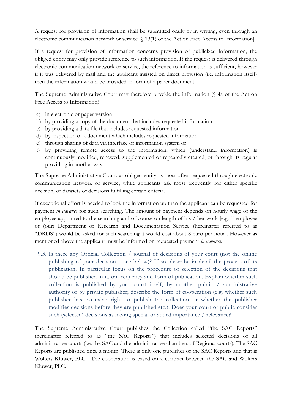A request for provision of information shall be submitted orally or in writing, even through an electronic communication network or service [§ 13(1) of the Act on Free Access to Information].

If a request for provision of information concerns provision of publicized information, the obliged entity may only provide reference to such information. If the request is delivered through electronic communication network or service, the reference to information is sufficient, however if it was delivered by mail and the applicant insisted on direct provision (i.e. information itself) then the information would be provided in form of a paper document.

The Supreme Administrative Court may therefore provide the information (§ 4a of the Act on Free Access to Information):

- a) in electronic or paper version
- b) by providing a copy of the document that includes requested information
- c) by providing a data file that includes requested information
- d) by inspection of a document which includes requested information
- e) through sharing of data via interface of information system or
- f) by providing remote access to the information, which (understand information) is continuously modified, renewed, supplemented or repeatedly created, or through its regular providing in another way

The Supreme Administrative Court, as obliged entity, is most often requested through electronic communication network or service, while applicants ask most frequently for either specific decision, or datasets of decisions fulfilling certain criteria.

If exceptional effort is needed to look the information up than the applicant can be requested for payment *in advance* for such searching. The amount of payment depends on hourly wage of the employee appointed to the searching and of course on length of his / her work [e.g. if employee of (our) Department of Research and Documentation Service (hereinafter referred to as "DRDS") would be asked for such searching it would cost about 8 euro per hour]. However as mentioned above the applicant must be informed on requested payment *in advance*.

9.3. Is there any Official Collection / journal of decisions of your court (not the online publishing of your decision – see below)? If so, describe in detail the process of its publication. In particular focus on the procedure of selection of the decisions that should be published in it, on frequency and form of publication. Explain whether such collection is published by your court itself, by another public / administrative authority or by private publisher; describe the form of cooperation (e.g. whether such publisher has exclusive right to publish the collection or whether the publisher modifies decisions before they are published etc.). Does your court or public consider such (selected) decisions as having special or added importance / relevance?

The Supreme Administrative Court publishes the Collection called "the SAC Reports" (hereinafter referred to as "the SAC Reports") that includes selected decisions of all administrative courts (i.e. the SAC and the administrative chambers of Regional courts). The SAC Reports are published once a month. There is only one publisher of the SAC Reports and that is Wolters Kluwer, PLC . The cooperation is based on a contract between the SAC and Wolters Kluwer, PLC.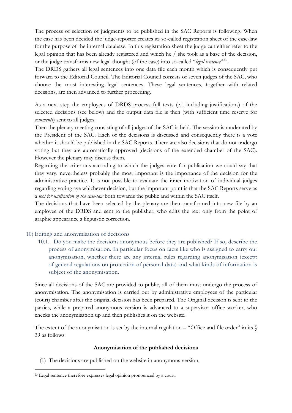The process of selection of judgments to be published in the SAC Reports is following. When the case has been decided the judge-reporter creates its so-called registration sheet of the case-law for the purpose of the internal database. In this registration sheet the judge can either refer to the legal opinion that has been already registered and which he / she took as a base of the decision, or the judge transforms new legal thought (of the case) into so-called "*legal sentence*"[23](#page-14-0).

The DRDS gathers all legal sentences into one data file each month which is consequently put forward to the Editorial Council. The Editorial Council consists of seven judges of the SAC, who choose the most interesting legal sentences. These legal sentences, together with related decisions, are then advanced to further proceeding.

As a next step the employees of DRDS process full texts (e.i. including justifications) of the selected decisions (see below) and the output data file is then (with sufficient time reserve for *comments*) sent to all judges.

Then the plenary meeting consisting of all judges of the SAC is held. The session is moderated by the President of the SAC. Each of the decisions is discussed and consequently there is a vote whether it should be published in the SAC Reports. There are also decisions that do not undergo voting but they are automatically approved (decisions of the extended chamber of the SAC). However the plenary may discuss them.

Regarding the criterions according to which the judges vote for publication we could say that they vary, nevertheless probably the most important is the importance of the decision for the administrative practice. It is not possible to evaluate the inner motivation of individual judges regarding voting aye whichever decision, but the important point is that the SAC Reports serve as a *tool for unification of the case-law* both towards the public and within the SAC itself.

The decisions that have been selected by the plenary are then transformed into new file by an employee of the DRDS and sent to the publisher, who edits the text only from the point of graphic appearance a linguistic correction.

#### 10) Editing and anonymisation of decisions

10.1. Do you make the decisions anonymous before they are published? If so, describe the process of anonymisation. In particular focus on facts like who is assigned to carry out anonymisation, whether there are any internal rules regarding anonymisation (except of general regulations on protection of personal data) and what kinds of information is subject of the anonymisation.

Since all decisions of the SAC are provided to public, all of them must undergo the process of anonymisation. The anonymisation is carried out by administrative employees of the particular (court) chamber after the original decision has been prepared. The Original decision is sent to the parties, while a prepared anonymous version is advanced to a supervisor office worker, who checks the anonymisation up and then publishes it on the website.

The extent of the anonymisation is set by the internal regulation – "Office and file order" in its  $\mathcal{S}$ 39 as follows:

#### **Anonymisation of the published decisions**

(1) The decisions are published on the website in anonymous version.

<span id="page-14-0"></span><sup>&</sup>lt;sup>23</sup> Legal sentence therefore expresses legal opinion pronounced by a court.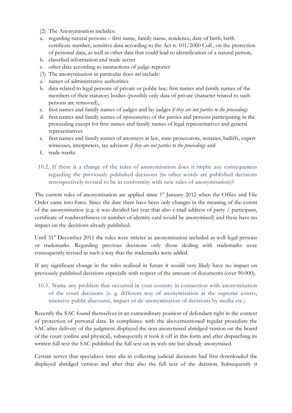- (2) The Anonymisation includes:
- a. regarding natural persons first name, family name, residence, date of birth, birth certificate number, sensitive data according to the Act n. 101/2000 Coll., on the protection of personal data, as well as other data that could lead to identification of a natural person,
- b. classified information and trade secret
- c. other data according to instructions of judge-reporter
- (3) The anonymisation in particular does *not* include:
- a. names of administrative authorities
- b. data related to legal persons of private or public law; first names and family names of the members of their statutory bodies (possibly only data of private character related to such persons are removed),
- c. first names and family names of judges and lay judges *if they are not parties to the proceedings*
- d. first names and family names of *representatives* of the parties and persons participating in the proceeding except for first names and family names of legal representatives and general representatives
- e. first names and family names of attorneys at law, state prosecutors, notaries, bailiffs, expert witnesses, interpreters, tax advisors *if they are not parties to the proceedings* and
- f. trade marks
- 10.2. If there is a change of the rules of anonymisation does it impliy any consequences regarding the previously published decisions (in other words are published decisions retrospectively revised to be in conformity with new rules of anonymisation)?

The current rules of anonymisation are applied since  $1<sup>st</sup>$  January 2012 when the Office and File Order came into force. Since the date there have been only changes in the meaning of the extent of the anonymisation (e.g. it was decided last year that also e-mail address of party / participant, certificate of roadworthiness or number of identity card would be anonymised) and these have no impact on the decisions already published.

Until 31<sup>st</sup> December 2011 the rules were stricter as anonymisation included as well legal persons or trademarks. Regarding previous decisions only those dealing with trademarks were consequently revised in such a way that the trademarks were added.

If any significant change in the rules realized in future it would very likely have no impact on previously published decisions especially with respect of the amount of documents (over 90.000).

10.3. Name any problem that occurred in your country in connection with anonymisation of the court decisions (e. g. different way of anonymisation at the supreme courts, intensive public discourse, impact of de-anonymisation of decisions by media etc.)

Recently the SAC found themselves in an extraordinary position of defendant right in the context of protection of personal data. In compliance with the abovementioned regular procedure the SAC after delivery of the judgment displayed the non-anonymised abridged version on the board of the court (online and physical), subsequently it took it off in this form and after dispatching its written full text the SAC published the full text on its web site but already anonymised.

Certain server that specializes inter alia in collecting judicial decisions had first downloaded the displayed abridged version and after that also the full text of the decision. Subsequently it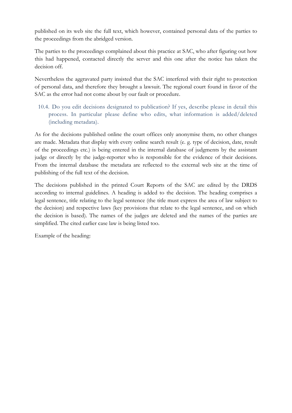published on its web site the full text, which however, contained personal data of the parties to the proceedings from the abridged version.

The parties to the proceedings complained about this practice at SAC, who after figuring out how this had happened, contacted directly the server and this one after the notice has taken the decision off.

Nevertheless the aggravated party insisted that the SAC interfered with their right to protection of personal data, and therefore they brought a lawsuit. The regional court found in favor of the SAC as the error had not come about by our fault or procedure.

10.4. Do you edit decisions designated to publication? If yes, describe please in detail this process. In particular please define who edits, what information is added/deleted (including metadata).

As for the decisions published online the court offices only anonymise them, no other changes are made. Metadata that display with every online search result (e. g. type of decision, date, result of the proceedings etc.) is being entered in the internal database of judgments by the assistant judge or directly by the judge-reporter who is responsible for the evidence of their decisions. From the internal database the metadata are reflected to the external web site at the time of publishing of the full text of the decision.

The decisions published in the printed Court Reports of the SAC are edited by the DRDS according to internal guidelines. A heading is added to the decision. The heading comprises a legal sentence, title relating to the legal sentence (the title must express the area of law subject to the decision) and respective laws (key provisions that relate to the legal sentence, and on which the decision is based). The names of the judges are deleted and the names of the parties are simplified. The cited earlier case law is being listed too.

Example of the heading: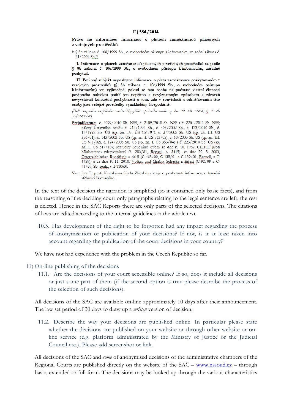Právo na informace: informace o platech zaměstnanců placených z veřejných prostředků

k § 8b zákona č. 106/1999 Sb., o svobodném přístupu k informacím, ve znění zákona č.  $61/2006$  Sb.<sup>\*</sup>)

I. Informace o platech zaměstnanců placených z veřejných prostředků se podle § 8b zákona č. 106/1999 Sb., o svobodném přístupu kinformacím, zásadně poskytují

II. Povinný subjekt neposkytne informace o platu zaměstnance poskytovaném z veřejných prostředků (§ 8b zákona č. 106/1999 Sb., o svobodném přístupu k informacím) jen výjimečně, pokud se tato osoba na podstatě vlastní činnosti povinného subjektu podílí jen nepřímo a nevýznamným způsobem a zároveň nevyvstávají konkrétní pochybnosti o tom, zda v souvislosti s odměňováním této osoby jsou veřejné prostředky vynakládány hospodárně.

(Podle rozsudku rozšířeného senátu Nejvyššího správního soudu ze dne 22. 10. 2014, čj. 8 As 55/2012-62)

Prejudikatura: č. 2099/2010 Sb. NSS, č. 2109/2010 Sb. NSS a č. 2201/2011 Sb. NSS; nálezy Ústavního soudu č. 214/1994 Sb., č. 405/2002 Sb., č. 123/2010 Sb., č. 17/1998 Sb. ÚS (sp. zn. IV. ÚS 154/97), č. 37/2002 Sb. ÚS (sp. zn. III. ÚS 256/01), č. 143/2002 Sb. ÚS (sp. zn. I. ÚS 512/02), č. 10/2003 Sb. ÚS (sp. zn. III. ÚS 671/02), č. 124/2005 Sb. ÚS (sp. zn. I. ÚS 353/04) a č. 223/2010 Sb. ÚS (sp. zn. I. ÚS 517/10); rozsudky Soudního dvora ze dne 6. 10. 1982, CILFIT proti Ministerstvu zdravotnictví (č. 283/81, Recueil, s. 3415), ze dne 20. 5. 2003, Österreichischer Rundfunk a další (C-465/00, C-138/01 a C-139/01, Recueil, s. I-4989), a ze dne 9. 11. 2010, Volker und Markus Schecke a Eifert (C-92/09 a C-93/09, Sb. rozh., s. I-11063).

In the text of the decision the narration is simplified (so it contained only basic facts), and from the reasoning of the deciding court only paragraphs relating to the legal sentence are left, the rest is deleted. Hence in the SAC Reports there are only parts of the selected decisions. The citations of laws are edited according to the internal guidelines in the whole text.

10.5. Has development of the right to be forgotten had any impact regarding the process of anonymisation or publication of your decisions? If not, is it at least taken into account regarding the publication of the court decisions in your country?

We have not had experience with the problem in the Czech Republic so far.

- 11) On-line publishing of the decisions
	- 11.1. Are the decisions of your court accessible online? If so, does it include all decisions or just some part of them (if the second option is true please describe the process of the selection of such decisions).

All decisions of the SAC are available on-line approximately 10 days after their announcement. The law set period of 30 days to draw up a *written* version of decision.

11.2. Describe the way your decisions are published online. In particular please state whether the decisions are published on your website or through other website or online service (e.g. platform administrated by the Ministry of Justice or the Judicial Council etc.). Please add screenshot or link.

All decisions of the SAC and *some* of anonymised decisions of the administrative chambers of the Regional Courts are published directly on the website of the  $SAC - www.nssoud.cz - through$  $SAC - www.nssoud.cz - through$  $SAC - www.nssoud.cz - through$ basic, extended or full form. The decisions may be looked up through the various characteristics

Věc: Jan T. proti Krajskému úřadu Zlínského kraje o poskytnutí informace, o kasační stížnosti žalovaného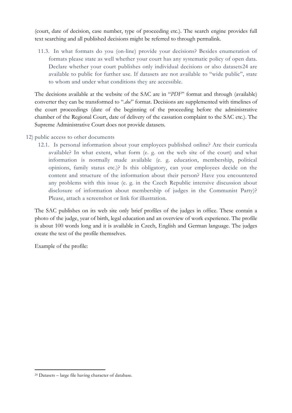(court, date of decision, case number, type of proceeding etc.). The search engine provides full text searching and all published decisions might be referred to through permalink.

11.3. In what formats do you (on-line) provide your decisions? Besides enumeration of formats please state as well whether your court has any systematic policy of open data. Declare whether your court publishes only individual decisions or also datasets[24](#page-18-0) are available to public for further use. If datasets are not available to "wide public", state to whom and under what conditions they are accessible.

The decisions available at the website of the SAC are in "*PDF*" format and through (available) converter they can be transformed to ".doc" format. Decisions are supplemented with timelines of the court proceedings (date of the beginning of the proceeding before the administrative chamber of the Regional Court, date of delivery of the cassation complaint to the SAC etc.). The Supreme Administrative Court does not provide datasets.

- 12) public access to other documents
	- 12.1. Is personal information about your employees published online? Are their curricula available? In what extent, what form (e. g. on the web site of the court) and what information is normally made available (e. g. education, membership, political opinions, family status etc.)? Is this obligatory, can your employees decide on the content and structure of the information about their person? Have you encountered any problems with this issue (e. g. in the Czech Republic intensive discussion about disclosure of information about membership of judges in the Communist Party)? Please, attach a screenshot or link for illustration.

The SAC publishes on its web site only brief profiles of the judges in office. These contain a photo of the judge, year of birth, legal education and an overview of work experience. The profile is about 100 words long and it is available in Czech, English and German language. The judges create the text of the profile themselves.

Example of the profile:

<span id="page-18-0"></span> <sup>24</sup> Datasets – large file having character of database.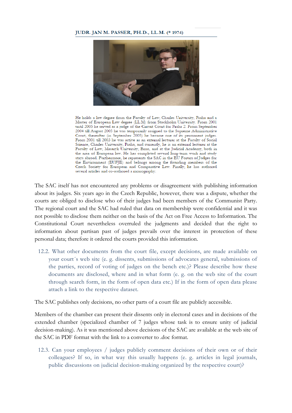#### JUDR. JAN M. PASSER, PH.D., LL.M. (\* 1974)



He holds a law degree from the Faculty of Law, Charles University, Praha and a Master of European Law degree (LL.M) from Stockholm University. From 2001 until 2005 he served as a judge of the Circuit Court for Praha 2. From September 2004 till August 2005 he was temporarily assigned to the Supreme Administrative Court, thereafter (in September 2005) he became one of its permanent judges. From 2001 till 2003 he was active as an external lecturer at the Faculty of Social Science, Charles University, Praha, and currently, he is an external lecturer at the Faculty of Law, Masaryk University, Brno, and at the Judicial Academy, both in the area of European law. He has completed several long-term work and study stays abroad. Furthermore, he represents the SAC in the EU Forum of Judges for the Environment (EUFJE) and belongs among the founding members of the Czech Society for European and Comparative Law. Finally, he has authored several articles and co-authored a monography.

The SAC itself has not encountered any problems or disagreement with publishing information about its judges. Six years ago in the Czech Republic, however, there was a dispute, whether the courts are obliged to disclose who of their judges had been members of the Communist Party. The regional court and the SAC had ruled that data on membership were confidential and it was not possible to disclose them neither on the basis of the Act on Free Access to Information. The Constitutional Court nevertheless overruled the judgments and decided that the right to information about partisan past of judges prevails over the interest in protection of these personal data; therefore it ordered the courts provided this information.

12.2. What other documents from the court file, except decisions, are made available on your court´s web site (e. g. dissents, submissions of advocates general, submissions of the parties, record of voting of judges on the bench etc.)? Please describe how these documents are disclosed, where and in what form (e. g. on the web site of the court through search form, in the form of open data etc.) If in the form of open data please attach a link to the respective dataset.

The SAC publishes only decisions, no other parts of a court file are publicly accessible.

Members of the chamber can present their dissents only in electoral cases and in decisions of the extended chamber (specialized chamber of 7 judges whose task is to ensure unity of judicial decision-making). As it was mentioned above decisions of the SAC are available at the web site of the SAC in PDF format with the link to a converter to .doc format.

12.3. Can your employees / judges publicly comment decisions of their own or of their colleagues? If so, in what way this usually happens (e. g. articles in legal journals, public discussions on judicial decision-making organized by the respective court)?